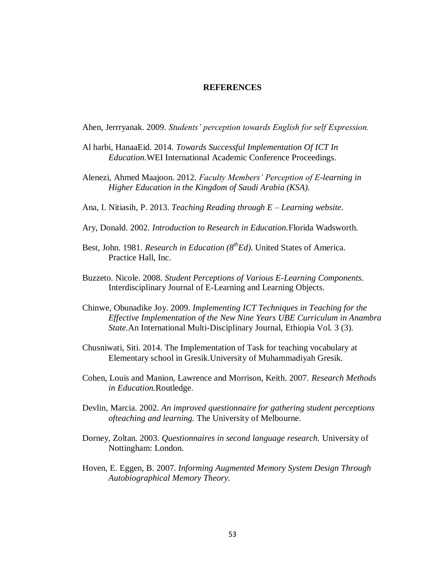## **REFERENCES**

Ahen, Jerrryanak. 2009. *Students' perception towards English for self Expression.*

- Al harbi, HanaaEid. 2014. *Towards Successful Implementation Of ICT In Education.*WEI International Academic Conference Proceedings.
- Alenezi, Ahmed Maajoon. 2012. *Faculty Members' Perception of E-learning in Higher Education in the Kingdom of Saudi Arabia (KSA).*
- Ana, I. Nitiasih, P. 2013. *Teaching Reading through E – Learning website.*
- Ary, Donald. 2002. *Introduction to Research in Education.*Florida Wadsworth.
- Best, John. 1981. *Research in Education (8<sup>th</sup>Ed)*. United States of America. Practice Hall, Inc.
- Buzzeto. Nicole. 2008. *Student Perceptions of Various E-Learning Components*. Interdisciplinary Journal of E-Learning and Learning Objects.
- Chinwe, Obunadike Joy. 2009. *Implementing ICT Techniques in Teaching for the Effective Implementation of the New Nine Years UBE Curriculum in Anambra State.*An International Multi-Disciplinary Journal, Ethiopia Vol. 3 (3).
- Chusniwati, Siti. 2014. The Implementation of Task for teaching vocabulary at Elementary school in Gresik.University of Muhammadiyah Gresik.
- Cohen, Louis and Manion, Lawrence and Morrison, Keith. 2007. *Research Methods in Education.*Routledge.
- Devlin, Marcia. 2002. *An improved questionnaire for gathering student perceptions ofteaching and learning.* The University of Melbourne.
- Dorney, Zoltan. 2003. *Questionnaires in second language research.* University of Nottingham: London.
- Hoven, E. Eggen, B. 2007. *Informing Augmented Memory System Design Through Autobiographical Memory Theory.*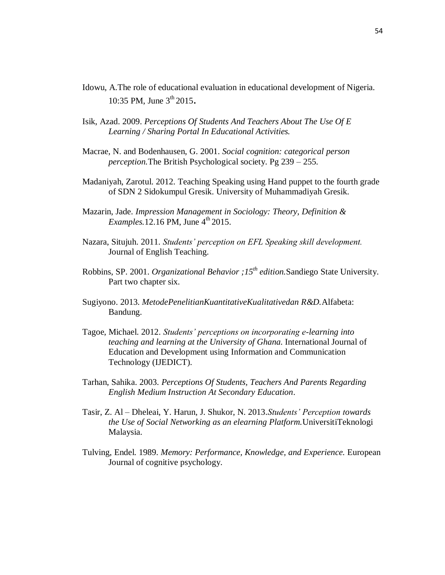- Idowu, A.The role of educational evaluation in educational development of Nigeria. 10:35 PM, June  $3^{th}$  2015.
- Isik, Azad. 2009. *Perceptions Of Students And Teachers About The Use Of E Learning / Sharing Portal In Educational Activities.*
- Macrae, N. and Bodenhausen, G. 2001. *Social cognition: categorical person perception.*The British Psychological society. Pg 239 – 255.
- Madaniyah, Zarotul. 2012. Teaching Speaking using Hand puppet to the fourth grade of SDN 2 Sidokumpul Gresik. University of Muhammadiyah Gresik.
- Mazarin, Jade. *Impression Management in Sociology: Theory, Definition & Examples.* 12.16 PM, June  $4<sup>th</sup>$  2015.
- Nazara, Situjuh. 2011. *Students' perception on EFL Speaking skill development.* Journal of English Teaching.
- Robbins, SP. 2001. *Organizational Behavior ;15th edition.*Sandiego State University. Part two chapter six.
- Sugiyono. 2013. *MetodePenelitianKuantitativeKualitativedan R&D.*Alfabeta: Bandung.
- Tagoe, Michael. 2012. *Students' perceptions on incorporating e-learning into teaching and learning at the University of Ghana.* International Journal of Education and Development using Information and Communication Technology (IJEDICT).
- Tarhan, Sahika. 2003. *Perceptions Of Students, Teachers And Parents Regarding English Medium Instruction At Secondary Education*.
- Tasir, Z. Al Dheleai, Y. Harun, J. Shukor, N. 2013.*Students' Perception towards the Use of Social Networking as an elearning Platform.*UniversitiTeknologi Malaysia.
- Tulving, Endel. 1989. *Memory: Performance, Knowledge, and Experience.* European Journal of cognitive psychology.